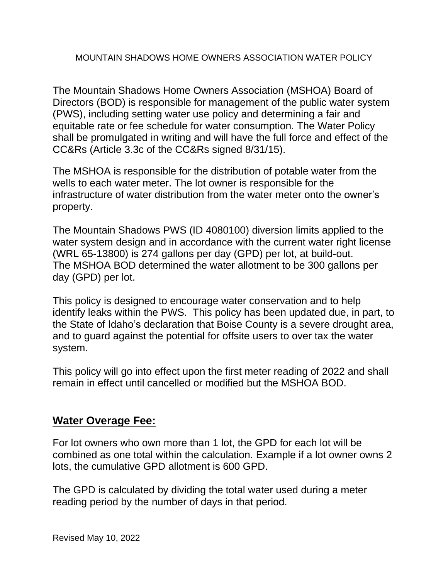## MOUNTAIN SHADOWS HOME OWNERS ASSOCIATION WATER POLICY

The Mountain Shadows Home Owners Association (MSHOA) Board of Directors (BOD) is responsible for management of the public water system (PWS), including setting water use policy and determining a fair and equitable rate or fee schedule for water consumption. The Water Policy shall be promulgated in writing and will have the full force and effect of the CC&Rs (Article 3.3c of the CC&Rs signed 8/31/15).

The MSHOA is responsible for the distribution of potable water from the wells to each water meter. The lot owner is responsible for the infrastructure of water distribution from the water meter onto the owner's property.

The Mountain Shadows PWS (ID 4080100) diversion limits applied to the water system design and in accordance with the current water right license (WRL 65-13800) is 274 gallons per day (GPD) per lot, at build-out. The MSHOA BOD determined the water allotment to be 300 gallons per day (GPD) per lot.

This policy is designed to encourage water conservation and to help identify leaks within the PWS. This policy has been updated due, in part, to the State of Idaho's declaration that Boise County is a severe drought area, and to guard against the potential for offsite users to over tax the water system.

This policy will go into effect upon the first meter reading of 2022 and shall remain in effect until cancelled or modified but the MSHOA BOD.

## **Water Overage Fee:**

For lot owners who own more than 1 lot, the GPD for each lot will be combined as one total within the calculation. Example if a lot owner owns 2 lots, the cumulative GPD allotment is 600 GPD.

The GPD is calculated by dividing the total water used during a meter reading period by the number of days in that period.